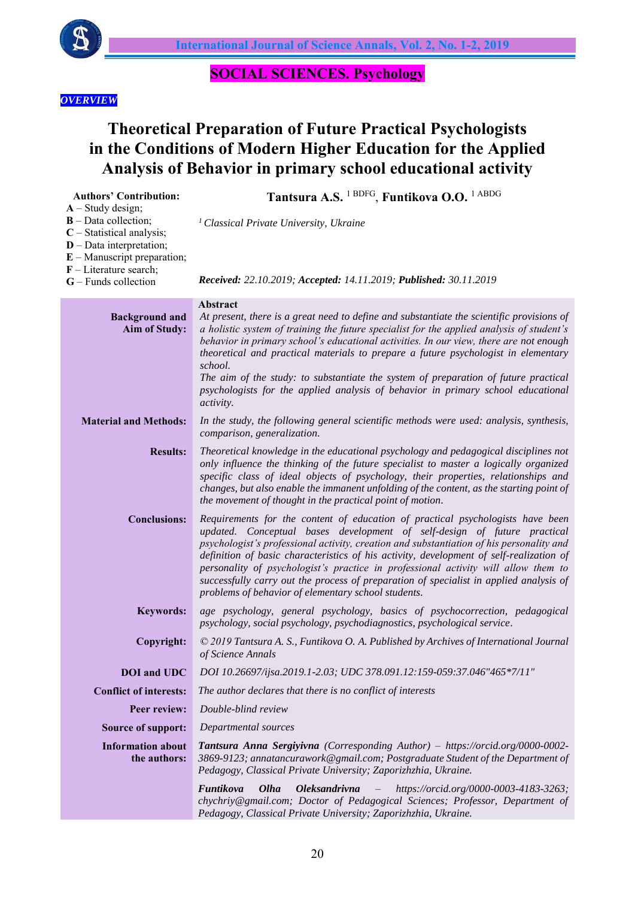

## **SOCIAL SCIENCES. Psychology**

### *OVERVIEW*

# **Theoretical Preparation of Future Practical Psychologists in the Conditions of Modern Higher Education for the Applied Analysis of Behavior in primary school educational activity**

| <b>Authors' Contribution:</b>                                                                                                               | Tantsura A.S. <sup>1 BDFG</sup> , Funtikova O.O. <sup>1 ABDG</sup>                                                                                                                                                                                                                                                                                                                                                                                                                                                                                                                       |
|---------------------------------------------------------------------------------------------------------------------------------------------|------------------------------------------------------------------------------------------------------------------------------------------------------------------------------------------------------------------------------------------------------------------------------------------------------------------------------------------------------------------------------------------------------------------------------------------------------------------------------------------------------------------------------------------------------------------------------------------|
| $A - Study design;$<br>$B$ – Data collection;<br>$C$ – Statistical analysis;<br>$D$ – Data interpretation;<br>$E$ – Manuscript preparation; | <sup>1</sup> Classical Private University, Ukraine                                                                                                                                                                                                                                                                                                                                                                                                                                                                                                                                       |
| $F$ – Literature search;<br>$G$ – Funds collection                                                                                          | Received: 22.10.2019; Accepted: 14.11.2019; Published: 30.11.2019                                                                                                                                                                                                                                                                                                                                                                                                                                                                                                                        |
| <b>Background and</b><br>Aim of Study:                                                                                                      | Abstract<br>At present, there is a great need to define and substantiate the scientific provisions of<br>a holistic system of training the future specialist for the applied analysis of student's<br>behavior in primary school's educational activities. In our view, there are not enough<br>theoretical and practical materials to prepare a future psychologist in elementary<br>school.<br>The aim of the study: to substantiate the system of preparation of future practical                                                                                                     |
|                                                                                                                                             | psychologists for the applied analysis of behavior in primary school educational<br>activity.                                                                                                                                                                                                                                                                                                                                                                                                                                                                                            |
| <b>Material and Methods:</b>                                                                                                                | In the study, the following general scientific methods were used: analysis, synthesis,<br>comparison, generalization.                                                                                                                                                                                                                                                                                                                                                                                                                                                                    |
| <b>Results:</b>                                                                                                                             | Theoretical knowledge in the educational psychology and pedagogical disciplines not<br>only influence the thinking of the future specialist to master a logically organized<br>specific class of ideal objects of psychology, their properties, relationships and<br>changes, but also enable the immanent unfolding of the content, as the starting point of<br>the movement of thought in the practical point of motion.                                                                                                                                                               |
| <b>Conclusions:</b>                                                                                                                         | Requirements for the content of education of practical psychologists have been<br>updated. Conceptual bases development of self-design of future practical<br>psychologist's professional activity, creation and substantiation of his personality and<br>definition of basic characteristics of his activity, development of self-realization of<br>personality of psychologist's practice in professional activity will allow them to<br>successfully carry out the process of preparation of specialist in applied analysis of<br>problems of behavior of elementary school students. |
| <b>Keywords:</b>                                                                                                                            | age psychology, general psychology, basics of psychocorrection, pedagogical<br>psychology, social psychology, psychodiagnostics, psychological service.                                                                                                                                                                                                                                                                                                                                                                                                                                  |
| Copyright:                                                                                                                                  | © 2019 Tantsura A. S., Funtikova O. A. Published by Archives of International Journal<br>of Science Annals                                                                                                                                                                                                                                                                                                                                                                                                                                                                               |
| <b>DOI</b> and UDC                                                                                                                          | DOI 10.26697/ijsa.2019.1-2.03; UDC 378.091.12:159-059:37.046"465*7/11"                                                                                                                                                                                                                                                                                                                                                                                                                                                                                                                   |
| <b>Conflict of interests:</b>                                                                                                               | The author declares that there is no conflict of interests                                                                                                                                                                                                                                                                                                                                                                                                                                                                                                                               |
| Peer review:                                                                                                                                | Double-blind review                                                                                                                                                                                                                                                                                                                                                                                                                                                                                                                                                                      |
| <b>Source of support:</b>                                                                                                                   | Departmental sources                                                                                                                                                                                                                                                                                                                                                                                                                                                                                                                                                                     |
| <b>Information about</b><br>the authors:                                                                                                    | Tantsura Anna Sergiyivna (Corresponding Author) - https://orcid.org/0000-0002-<br>3869-9123; annatancurawork@gmail.com; Postgraduate Student of the Department of<br>Pedagogy, Classical Private University; Zaporizhzhia, Ukraine.                                                                                                                                                                                                                                                                                                                                                      |
|                                                                                                                                             | Funtikova<br>Olha<br><b>Oleksandrivna</b><br>https://orcid.org/0000-0003-4183-3263;<br>$\qquad \qquad -$<br>chychriy@gmail.com; Doctor of Pedagogical Sciences; Professor, Department of<br>Pedagogy, Classical Private University; Zaporizhzhia, Ukraine.                                                                                                                                                                                                                                                                                                                               |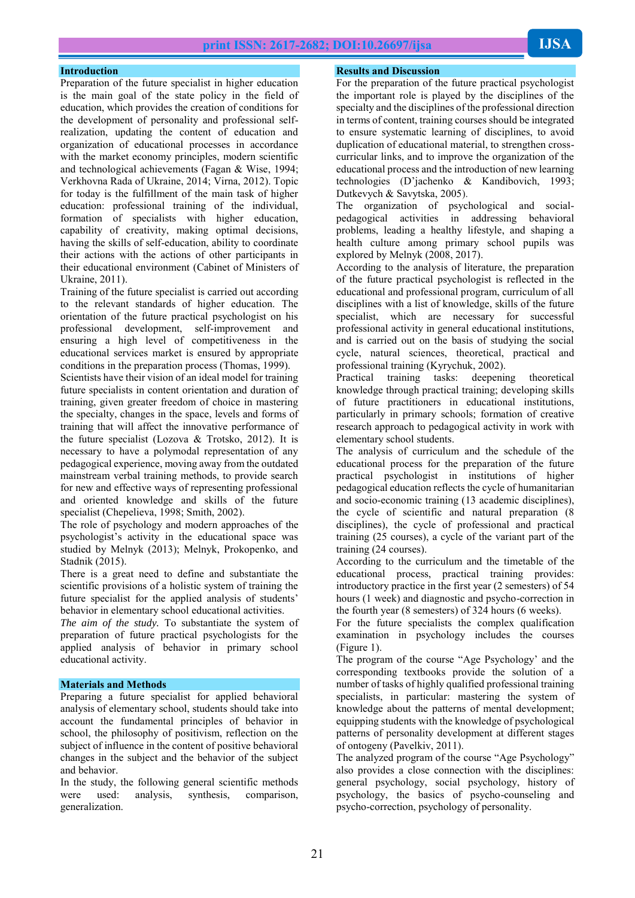#### **Introduction**

Preparation of the future specialist in higher education is the main goal of the state policy in the field of education, which provides the creation of conditions for the development of personality and professional selfrealization, updating the content of education and organization of educational processes in accordance with the market economy principles, modern scientific and technological achievements (Fagan & Wise, 1994; Verkhovna Rada of Ukraine, 2014; Virna, 2012). Topic for today is the fulfillment of the main task of higher education: professional training of the individual, formation of specialists with higher education, capability of creativity, making optimal decisions, having the skills of self-education, ability to coordinate their actions with the actions of other participants in their educational environment (Cabinet of Ministers of Ukraine, 2011).

Training of the future specialist is carried out according to the relevant standards of higher education. The orientation of the future practical psychologist on his professional development, self-improvement and ensuring a high level of competitiveness in the educational services market is ensured by appropriate conditions in the preparation process (Thomas, 1999).

Scientists have their vision of an ideal model for training future specialists in content orientation and duration of training, given greater freedom of choice in mastering the specialty, changes in the space, levels and forms of training that will affect the innovative performance of the future specialist (Lozova & Trotsko, 2012). It is necessary to have a polymodal representation of any pedagogical experience, moving away from the outdated mainstream verbal training methods, to provide search for new and effective ways of representing professional and oriented knowledge and skills of the future specialist (Chepelieva, 1998; Smith, 2002).

The role of psychology and modern approaches of the psychologist's activity in the educational space was studied by Melnyk (2013); Melnyk, Prokopenko, and Stadnik (2015).

There is a great need to define and substantiate the scientific provisions of a holistic system of training the future specialist for the applied analysis of students' behavior in elementary school educational activities.

*The aim of the study.* To substantiate the system of preparation of future practical psychologists for the applied analysis of behavior in primary school educational activity.

#### **Materials and Methods**

Preparing a future specialist for applied behavioral analysis of elementary school, students should take into account the fundamental principles of behavior in school, the philosophy of positivism, reflection on the subject of influence in the content of positive behavioral changes in the subject and the behavior of the subject and behavior.

In the study, the following general scientific methods were used: analysis, synthesis, comparison, generalization.

#### **Results and Discussion**

For the preparation of the future practical psychologist the important role is played by the disciplines of the specialty and the disciplines of the professional direction in terms of content, training courses should be integrated to ensure systematic learning of disciplines, to avoid duplication of educational material, to strengthen crosscurricular links, and to improve the organization of the educational process and the introduction of new learning technologies (D'jachenko & Kandibovich, 1993; Dutkevych & Savytska, 2005).

The organization of psychological and socialpedagogical activities in addressing behavioral problems, leading a healthy lifestyle, and shaping a health culture among primary school pupils was explored by Melnyk (2008, 2017).

According to the analysis of literature, the preparation of the future practical psychologist is reflected in the educational and professional program, curriculum of all disciplines with a list of knowledge, skills of the future specialist, which are necessary for successful professional activity in general educational institutions, and is carried out on the basis of studying the social cycle, natural sciences, theoretical, practical and professional training (Kyrychuk, 2002).

Practical training tasks: deepening theoretical knowledge through practical training; developing skills of future practitioners in educational institutions, particularly in primary schools; formation of creative research approach to pedagogical activity in work with elementary school students.

The analysis of curriculum and the schedule of the educational process for the preparation of the future practical psychologist in institutions of higher pedagogical education reflects the cycle of humanitarian and socio-economic training (13 academic disciplines), the cycle of scientific and natural preparation (8 disciplines), the cycle of professional and practical training (25 courses), a cycle of the variant part of the training (24 courses).

According to the curriculum and the timetable of the educational process, practical training provides: introductory practice in the first year (2 semesters) of 54 hours (1 week) and diagnostic and psycho-correction in the fourth year (8 semesters) of 324 hours (6 weeks).

For the future specialists the complex qualification examination in psychology includes the courses (Figure 1).

The program of the course "Age Psychology' and the corresponding textbooks provide the solution of a number of tasks of highly qualified professional training specialists, in particular: mastering the system of knowledge about the patterns of mental development; equipping students with the knowledge of psychological patterns of personality development at different stages of ontogeny (Pavelkiv, 2011).

The analyzed program of the course "Age Psychology" also provides a close connection with the disciplines: general psychology, social psychology, history of psychology, the basics of psycho-counseling and psycho-correction, psychology of personality.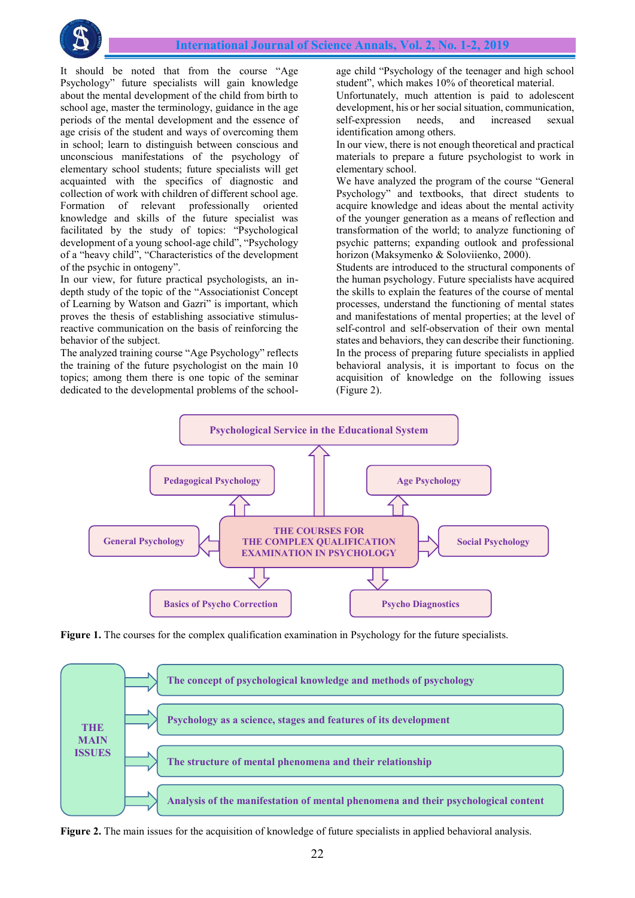

It should be noted that from the course "Age Psychology" future specialists will gain knowledge about the mental development of the child from birth to school age, master the terminology, guidance in the age periods of the mental development and the essence of age crisis of the student and ways of overcoming them in school; learn to distinguish between conscious and unconscious manifestations of the psychology of elementary school students; future specialists will get acquainted with the specifics of diagnostic and collection of work with children of different school age. Formation of relevant professionally oriented knowledge and skills of the future specialist was facilitated by the study of topics: "Psychological development of a young school-age child", "Psychology of a "heavy child", "Characteristics of the development of the psychic in ontogeny".

In our view, for future practical psychologists, an indepth study of the topic of the "Associationist Concept of Learning by Watson and Gazri" is important, which proves the thesis of establishing associative stimulusreactive communication on the basis of reinforcing the behavior of the subject.

The analyzed training course "Age Psychology" reflects the training of the future psychologist on the main 10 topics; among them there is one topic of the seminar dedicated to the developmental problems of the schoolage child "Psychology of the teenager and high school student", which makes 10% of theoretical material.

Unfortunately, much attention is paid to adolescent development, his or her social situation, communication, self-expression needs, and increased sexual identification among others.

In our view, there is not enough theoretical and practical materials to prepare a future psychologist to work in elementary school.

We have analyzed the program of the course "General Psychology" and textbooks, that direct students to acquire knowledge and ideas about the mental activity of the younger generation as a means of reflection and transformation of the world; to analyze functioning of psychic patterns; expanding outlook and professional horizon (Maksymenko & Soloviienko, 2000).

Students are introduced to the structural components of the human psychology. Future specialists have acquired the skills to explain the features of the course of mental processes, understand the functioning of mental states and manifestations of mental properties; at the level of self-control and self-observation of their own mental states and behaviors, they can describe their functioning. In the process of preparing future specialists in applied behavioral analysis, it is important to focus on the acquisition of knowledge on the following issues (Figure 2).



**Figure 1.** The courses for the complex qualification examination in Psychology for the future specialists.



**Figure 2.** The main issues for the acquisition of knowledge of future specialists in applied behavioral analysis.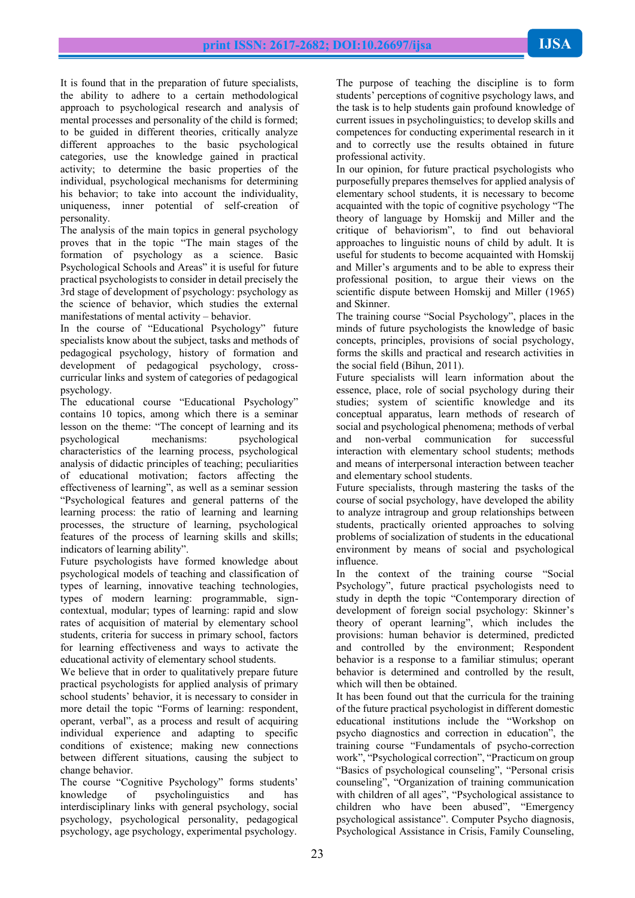It is found that in the preparation of future specialists, the ability to adhere to a certain methodological approach to psychological research and analysis of mental processes and personality of the child is formed; to be guided in different theories, critically analyze different approaches to the basic psychological categories, use the knowledge gained in practical activity; to determine the basic properties of the individual, psychological mechanisms for determining his behavior; to take into account the individuality, uniqueness, inner potential of self-creation of personality.

The analysis of the main topics in general psychology proves that in the topic "The main stages of the formation of psychology as a science. Basic Psychological Schools and Areas" it is useful for future practical psychologists to consider in detail precisely the 3rd stage of development of psychology: psychology as the science of behavior, which studies the external manifestations of mental activity – behavior.

In the course of "Educational Psychology" future specialists know about the subject, tasks and methods of pedagogical psychology, history of formation and development of pedagogical psychology, crosscurricular links and system of categories of pedagogical psychology.

The educational course "Educational Psychology" contains 10 topics, among which there is a seminar lesson on the theme: "The concept of learning and its psychological mechanisms: psychological characteristics of the learning process, psychological analysis of didactic principles of teaching; peculiarities of educational motivation; factors affecting the effectiveness of learning", as well as a seminar session "Psychological features and general patterns of the learning process: the ratio of learning and learning processes, the structure of learning, psychological features of the process of learning skills and skills; indicators of learning ability".

Future psychologists have formed knowledge about psychological models of teaching and classification of types of learning, innovative teaching technologies, types of modern learning: programmable, signcontextual, modular; types of learning: rapid and slow rates of acquisition of material by elementary school students, criteria for success in primary school, factors for learning effectiveness and ways to activate the educational activity of elementary school students.

We believe that in order to qualitatively prepare future practical psychologists for applied analysis of primary school students' behavior, it is necessary to consider in more detail the topic "Forms of learning: respondent, operant, verbal", as a process and result of acquiring individual experience and adapting to specific conditions of existence; making new connections between different situations, causing the subject to change behavior.

The course "Cognitive Psychology" forms students' knowledge of psycholinguistics and has interdisciplinary links with general psychology, social psychology, psychological personality, pedagogical psychology, age psychology, experimental psychology.

The purpose of teaching the discipline is to form students' perceptions of cognitive psychology laws, and the task is to help students gain profound knowledge of current issues in psycholinguistics; to develop skills and competences for conducting experimental research in it and to correctly use the results obtained in future professional activity.

In our opinion, for future practical psychologists who purposefully prepares themselves for applied analysis of elementary school students, it is necessary to become acquainted with the topic of cognitive psychology "The theory of language by Homskij and Miller and the critique of behaviorism", to find out behavioral approaches to linguistic nouns of child by adult. It is useful for students to become acquainted with Homskij and Miller's arguments and to be able to express their professional position, to argue their views on the scientific dispute between Homskij and Miller (1965) and Skinner.

The training course "Social Psychology", places in the minds of future psychologists the knowledge of basic concepts, principles, provisions of social psychology, forms the skills and practical and research activities in the social field (Bihun, 2011).

Future specialists will learn information about the essence, place, role of social psychology during their studies; system of scientific knowledge and its conceptual apparatus, learn methods of research of social and psychological phenomena; methods of verbal and non-verbal communication for successful interaction with elementary school students; methods and means of interpersonal interaction between teacher and elementary school students.

Future specialists, through mastering the tasks of the course of social psychology, have developed the ability to analyze intragroup and group relationships between students, practically oriented approaches to solving problems of socialization of students in the educational environment by means of social and psychological influence.

In the context of the training course "Social Psychology", future practical psychologists need to study in depth the topic "Contemporary direction of development of foreign social psychology: Skinner's theory of operant learning", which includes the provisions: human behavior is determined, predicted and controlled by the environment; Respondent behavior is a response to a familiar stimulus; operant behavior is determined and controlled by the result, which will then be obtained.

It has been found out that the curricula for the training of the future practical psychologist in different domestic educational institutions include the "Workshop on psycho diagnostics and correction in education", the training course "Fundamentals of psycho-correction work", "Psychological correction", "Practicum on group "Basics of psychological counseling", "Personal crisis counseling", "Organization of training communication with children of all ages", "Psychological assistance to children who have been abused", "Emergency psychological assistance". Computer Psycho diagnosis, Psychological Assistance in Crisis, Family Counseling,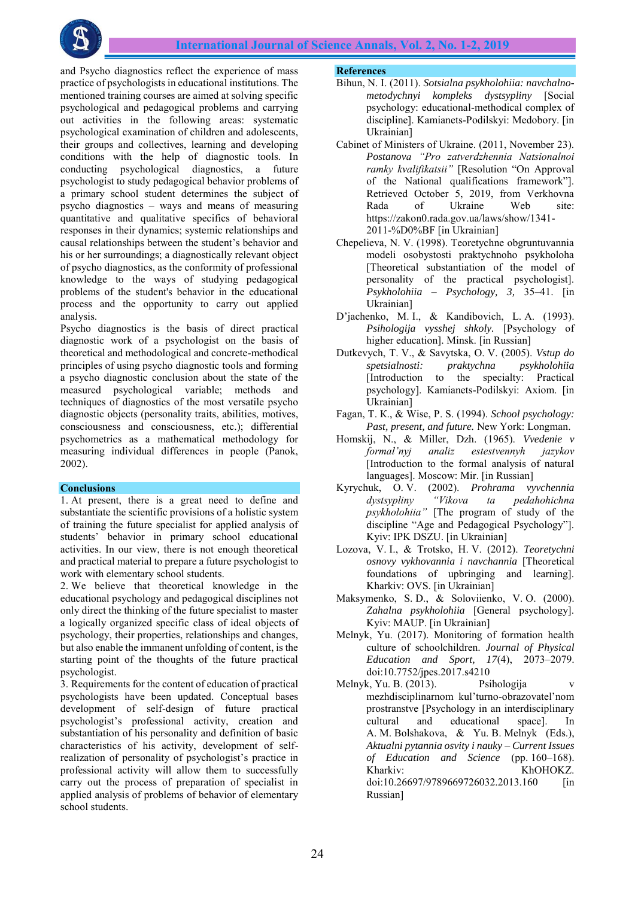and Psycho diagnostics reflect the experience of mass practice of psychologists in educational institutions. The mentioned training courses are aimed at solving specific psychological and pedagogical problems and carrying out activities in the following areas: systematic psychological examination of children and adolescents, their groups and collectives, learning and developing conditions with the help of diagnostic tools. In conducting psychological diagnostics, a future psychologist to study pedagogical behavior problems of a primary school student determines the subject of psycho diagnostics – ways and means of measuring quantitative and qualitative specifics of behavioral responses in their dynamics; systemic relationships and causal relationships between the student's behavior and his or her surroundings; a diagnostically relevant object of psycho diagnostics, as the conformity of professional knowledge to the ways of studying pedagogical problems of the student's behavior in the educational process and the opportunity to carry out applied analysis.

Psycho diagnostics is the basis of direct practical diagnostic work of a psychologist on the basis of theoretical and methodological and concrete-methodical principles of using psycho diagnostic tools and forming a psycho diagnostic conclusion about the state of the measured psychological variable; methods and techniques of diagnostics of the most versatile psycho diagnostic objects (personality traits, abilities, motives, consciousness and consciousness, etc.); differential psychometrics as a mathematical methodology for measuring individual differences in people (Panok, 2002).

#### **Conclusions**

1. At present, there is a great need to define and substantiate the scientific provisions of a holistic system of training the future specialist for applied analysis of students' behavior in primary school educational activities. In our view, there is not enough theoretical and practical material to prepare a future psychologist to work with elementary school students.

2. We believe that theoretical knowledge in the educational psychology and pedagogical disciplines not only direct the thinking of the future specialist to master a logically organized specific class of ideal objects of psychology, their properties, relationships and changes, but also enable the immanent unfolding of content, is the starting point of the thoughts of the future practical psychologist.

3. Requirements for the content of education of practical psychologists have been updated. Conceptual bases development of self-design of future practical psychologist's professional activity, creation and substantiation of his personality and definition of basic characteristics of his activity, development of selfrealization of personality of psychologist's practice in professional activity will allow them to successfully carry out the process of preparation of specialist in applied analysis of problems of behavior of elementary school students.

#### **References**

- Bihun, N. I. (2011). *Sotsialna psykholohiia: navchalnometodychnyi kompleks dystsypliny* [Social psychology: educational-methodical complex of discipline]. Kamianets-Podilskyi: Medobory. [in Ukrainian]
- Cabinet of Ministers of Ukraine. (2011, November 23). *Postanova "Pro zatverdzhennia Natsionalnoi ramky kvalifikatsii"* [Resolution "On Approval of the National qualifications framework"]. Retrieved October 5, 2019, from Verkhovna Rada of Ukraine Web site: https://zakon0.rada.gov.ua/laws/show/1341- 2011-%D0%BF [in Ukrainian]
- Chepelieva, N. V. (1998). Teoretychne obgruntuvannia modeli osobystosti praktychnoho psykholoha [Theoretical substantiation of the model of personality of the practical psychologist]. *Psykholohiia – Psychology, 3,* 35–41. [in Ukrainian]
- D'jachenko, M. I., & Kandibovich, L. A. (1993). *Psihologija vysshej shkoly.* [Psychology of higher education]. Minsk. [in Russian]
- Dutkevych, T. V., & Savytska, O. V. (2005). *Vstup do spetsialnosti: praktychna psykholohiia*  [Introduction to the specialty: Practical psychology]. Kamianets-Podilskyi: Axiom. [in Ukrainian]
- Fagan, Т. К., & Wise, P. S. (1994). *School psychology: Past, present, and future.* New York: Longman.
- Homskij, N., & Miller, Dzh. (1965). *Vvedenie v formal'nyj analiz estestvennyh jazykov* [Introduction to the formal analysis of natural languages]. Moscow: Mir. [in Russian]
- Kyrychuk, O. V. (2002). *Prohrama vyvchennia dystsypliny "Vikova ta pedahohichna psykholohiia"* [The program of study of the discipline "Age and Pedagogical Psychology"]. Kyiv: IPK DSZU. [in Ukrainian]
- Lozova, V. I., & Trotsko, H. V. (2012). *Teoretychni osnovy vykhovannia i navchannia* [Theoretical foundations of upbringing and learning]. Kharkiv: OVS. [in Ukrainian]
- Maksymenko, S. D., & Soloviienko, V. O. (2000). *Zahalna psykholohiia* [General psychology]. Kyiv: MAUP. [in Ukrainian]
- Melnyk, Yu. (2017). Monitoring of formation health culture of schoolchildren. *Journal of Physical Education and Sport, 17*(4), 2073–2079. doi:10.7752/jpes.2017.s4210
- Melnyk, Yu. B. (2013). Psihologija v mezhdisciplinarnom kul'turno-obrazovatel'nom prostranstve [Psychology in an interdisciplinary cultural and educational space]. In A. M. Bolshakova, & Yu. B. Melnyk (Eds.), *Aktualni pytannia osvity i nauky – Current Issues of Education and Science* (pp. 160–168). Kharkiv: KhOHOKZ. doi:10.26697/9789669726032.2013.160 [in Russian]